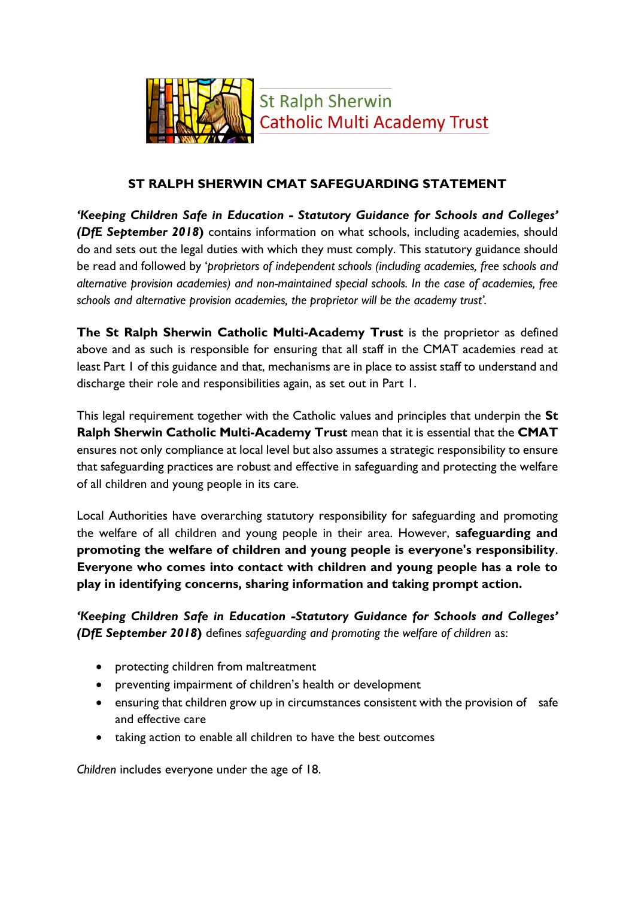

**St Ralph Sherwin Catholic Multi Academy Trust** 

## **ST RALPH SHERWIN CMAT SAFEGUARDING STATEMENT**

*'Keeping Children Safe in Education - Statutory Guidance for Schools and Colleges' (DfE September 2018***)** contains information on what schools, including academies, should do and sets out the legal duties with which they must comply. This statutory guidance should be read and followed by '*proprietors of independent schools (including academies, free schools and alternative provision academies) and non-maintained special schools. In the case of academies, free schools and alternative provision academies, the proprietor will be the academy trust'.*

**The St Ralph Sherwin Catholic Multi-Academy Trust** is the proprietor as defined above and as such is responsible for ensuring that all staff in the CMAT academies read at least Part 1 of this guidance and that, mechanisms are in place to assist staff to understand and discharge their role and responsibilities again, as set out in Part 1.

This legal requirement together with the Catholic values and principles that underpin the **St Ralph Sherwin Catholic Multi-Academy Trust** mean that it is essential that the **CMAT** ensures not only compliance at local level but also assumes a strategic responsibility to ensure that safeguarding practices are robust and effective in safeguarding and protecting the welfare of all children and young people in its care.

Local Authorities have overarching statutory responsibility for safeguarding and promoting the welfare of all children and young people in their area. However, **safeguarding and promoting the welfare of children and young people is everyone's responsibility**. **Everyone who comes into contact with children and young people has a role to play in identifying concerns, sharing information and taking prompt action.** 

*'Keeping Children Safe in Education -Statutory Guidance for Schools and Colleges' (DfE September 2018***)** defines *safeguarding and promoting the welfare of children* as:

- protecting children from maltreatment
- preventing impairment of children's health or development
- ensuring that children grow up in circumstances consistent with the provision of safe and effective care
- taking action to enable all children to have the best outcomes

*Children* includes everyone under the age of 18.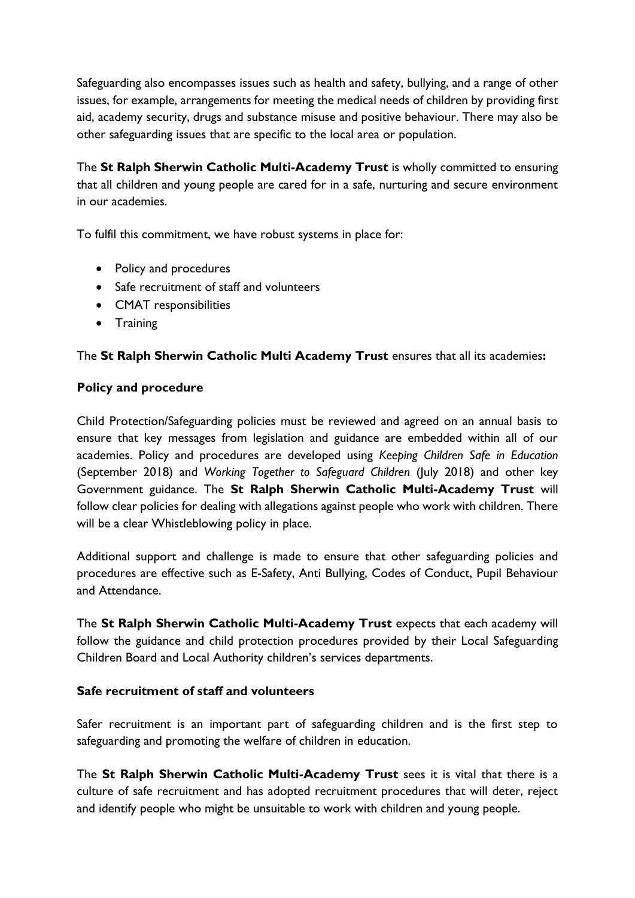Safeguarding also encompasses issues such as health and safety, bullying, and a range of other issues, for example, arrangements for meeting the medical needs of children by providing first aid, academy security, drugs and substance misuse and positive behaviour. There may also be other safeguarding issues that are specific to the local area or population.

The **St Ralph Sherwin Catholic Multi-Academy Trust** is wholly committed to ensuring that all children and young people are cared for in a safe, nurturing and secure environment in our academies.

To fulfil this commitment, we have robust systems in place for:

- Policy and procedures
- Safe recruitment of staff and volunteers
- CMAT responsibilities
- Training

## The **St Ralph Sherwin Catholic Multi Academy Trust** ensures that all its academies**:**

#### **Policy and procedure**

Child Protection/Safeguarding policies must be reviewed and agreed on an annual basis to ensure that key messages from legislation and guidance are embedded within all of our academies. Policy and procedures are developed using *Keeping Children Safe in Education*  (September 2018) and *Working Together to Safeguard Children* (July 2018) and other key Government guidance. The **St Ralph Sherwin Catholic Multi-Academy Trust** will follow clear policies for dealing with allegations against people who work with children. There will be a clear Whistleblowing policy in place.

Additional support and challenge is made to ensure that other safeguarding policies and procedures are effective such as E-Safety, Anti Bullying, Codes of Conduct, Pupil Behaviour and Attendance.

The **St Ralph Sherwin Catholic Multi-Academy Trust** expects that each academy will follow the guidance and child protection procedures provided by their Local Safeguarding Children Board and Local Authority children's services departments.

#### **Safe recruitment of staff and volunteers**

Safer recruitment is an important part of safeguarding children and is the first step to safeguarding and promoting the welfare of children in education.

The **St Ralph Sherwin Catholic Multi-Academy Trust** sees it is vital that there is a culture of safe recruitment and has adopted recruitment procedures that will deter, reject and identify people who might be unsuitable to work with children and young people.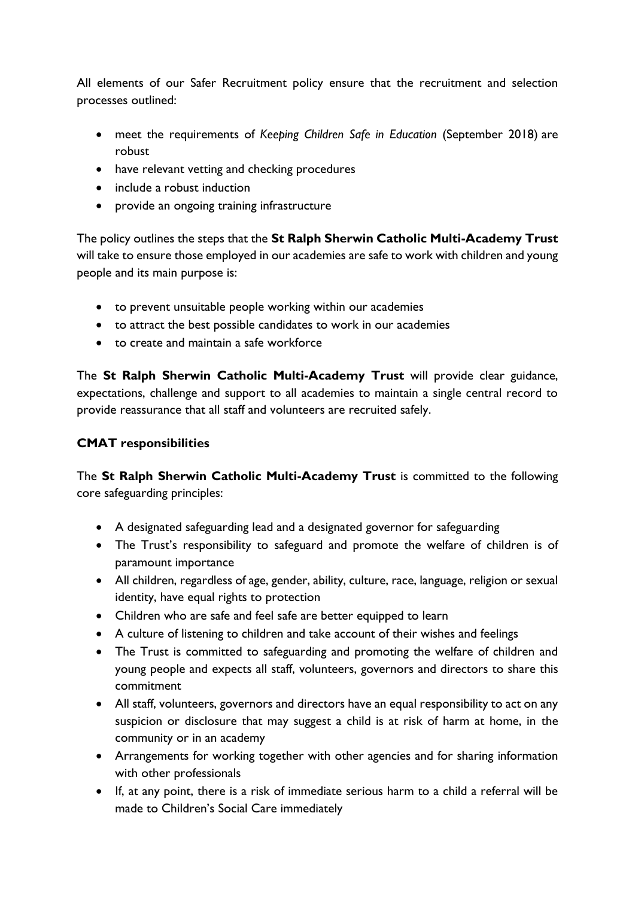All elements of our Safer Recruitment policy ensure that the recruitment and selection processes outlined:

- meet the requirements of *Keeping Children Safe in Education* (September 2018) are robust
- have relevant vetting and checking procedures
- include a robust induction
- provide an ongoing training infrastructure

The policy outlines the steps that the **St Ralph Sherwin Catholic Multi-Academy Trust** will take to ensure those employed in our academies are safe to work with children and young people and its main purpose is:

- to prevent unsuitable people working within our academies
- to attract the best possible candidates to work in our academies
- to create and maintain a safe workforce

The **St Ralph Sherwin Catholic Multi-Academy Trust** will provide clear guidance, expectations, challenge and support to all academies to maintain a single central record to provide reassurance that all staff and volunteers are recruited safely.

## **CMAT responsibilities**

The **St Ralph Sherwin Catholic Multi-Academy Trust** is committed to the following core safeguarding principles:

- A designated safeguarding lead and a designated governor for safeguarding
- The Trust's responsibility to safeguard and promote the welfare of children is of paramount importance
- All children, regardless of age, gender, ability, culture, race, language, religion or sexual identity, have equal rights to protection
- Children who are safe and feel safe are better equipped to learn
- A culture of listening to children and take account of their wishes and feelings
- The Trust is committed to safeguarding and promoting the welfare of children and young people and expects all staff, volunteers, governors and directors to share this commitment
- All staff, volunteers, governors and directors have an equal responsibility to act on any suspicion or disclosure that may suggest a child is at risk of harm at home, in the community or in an academy
- Arrangements for working together with other agencies and for sharing information with other professionals
- If, at any point, there is a risk of immediate serious harm to a child a referral will be made to Children's Social Care immediately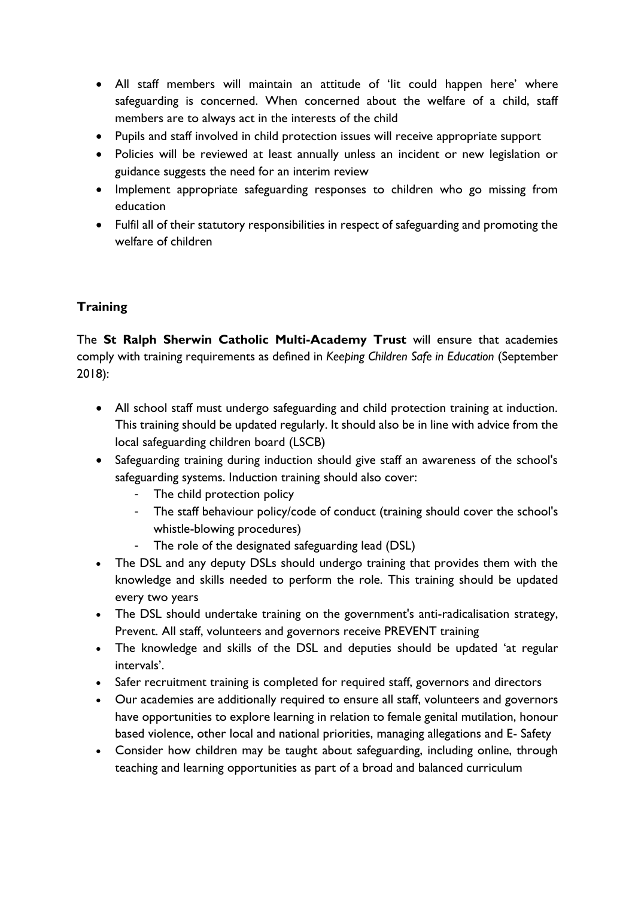- All staff members will maintain an attitude of 'Iit could happen here' where safeguarding is concerned. When concerned about the welfare of a child, staff members are to always act in the interests of the child
- Pupils and staff involved in child protection issues will receive appropriate support
- Policies will be reviewed at least annually unless an incident or new legislation or guidance suggests the need for an interim review
- Implement appropriate safeguarding responses to children who go missing from education
- Fulfil all of their statutory responsibilities in respect of safeguarding and promoting the welfare of children

# **Training**

The **St Ralph Sherwin Catholic Multi-Academy Trust** will ensure that academies comply with training requirements as defined in *Keeping Children Safe in Education* (September 2018):

- All school staff must undergo safeguarding and child protection training at induction. This training should be updated regularly. It should also be in line with advice from the local safeguarding children board (LSCB)
- Safeguarding training during induction should give staff an awareness of the school's safeguarding systems. Induction training should also cover:
	- The child protection policy
	- The staff behaviour policy/code of conduct (training should cover the school's whistle-blowing procedures)
	- The role of the designated safeguarding lead (DSL)
- The DSL and any deputy DSLs should undergo training that provides them with the knowledge and skills needed to perform the role. This training should be updated every two years
- The DSL should undertake training on the government's anti-radicalisation strategy, Prevent. All staff, volunteers and governors receive PREVENT training
- The knowledge and skills of the DSL and deputies should be updated 'at regular intervals'.
- Safer recruitment training is completed for required staff, governors and directors
- Our academies are additionally required to ensure all staff, volunteers and governors have opportunities to explore learning in relation to female genital mutilation, honour based violence, other local and national priorities, managing allegations and E- Safety
- Consider how children may be taught about safeguarding, including online, through teaching and learning opportunities as part of a broad and balanced curriculum